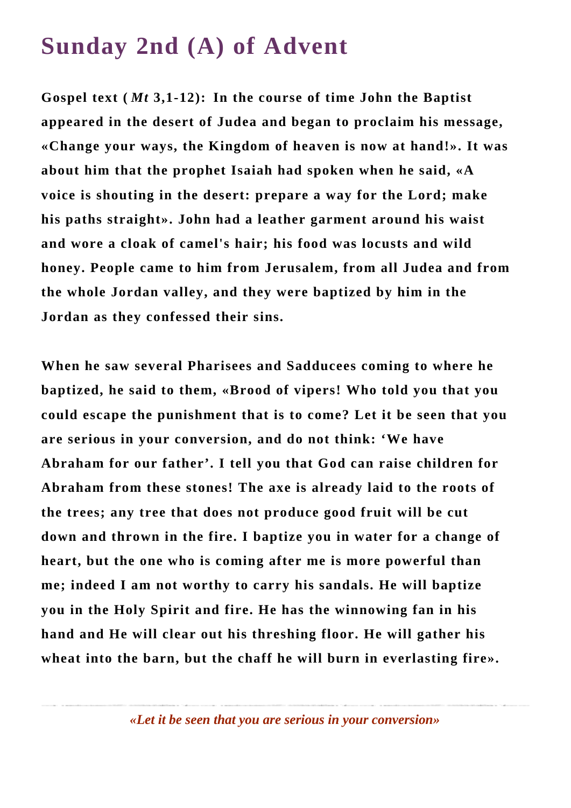## **Sunday 2nd (A) of Advent**

**Gospel text (** *Mt* **3,1-12): In the course of time John the Baptist appeared in the desert of Judea and began to proclaim his message, «Change your ways, the Kingdom of heaven is now at hand!». It was about him that the prophet Isaiah had spoken when he said, «A voice is shouting in the desert: prepare a way for the Lord; make his paths straight». John had a leather garment around his waist and wore a cloak of camel's hair; his food was locusts and wild honey. People came to him from Jerusalem, from all Judea and from the whole Jordan valley, and they were baptized by him in the Jordan as they confessed their sins.**

**When he saw several Pharisees and Sadducees coming to where he baptized, he said to them, «Brood of vipers! Who told you that you could escape the punishment that is to come? Let it be seen that you are serious in your conversion, and do not think: 'We have Abraham for our father'. I tell you that God can raise children for Abraham from these stones! The axe is already laid to the roots of the trees; any tree that does not produce good fruit will be cut down and thrown in the fire. I baptize you in water for a change of heart, but the one who is coming after me is more powerful than me; indeed I am not worthy to carry his sandals. He will baptize you in the Holy Spirit and fire. He has the winnowing fan in his hand and He will clear out his threshing floor. He will gather his wheat into the barn, but the chaff he will burn in everlasting fire».**

*«Let it be seen that you are serious in your conversion»*